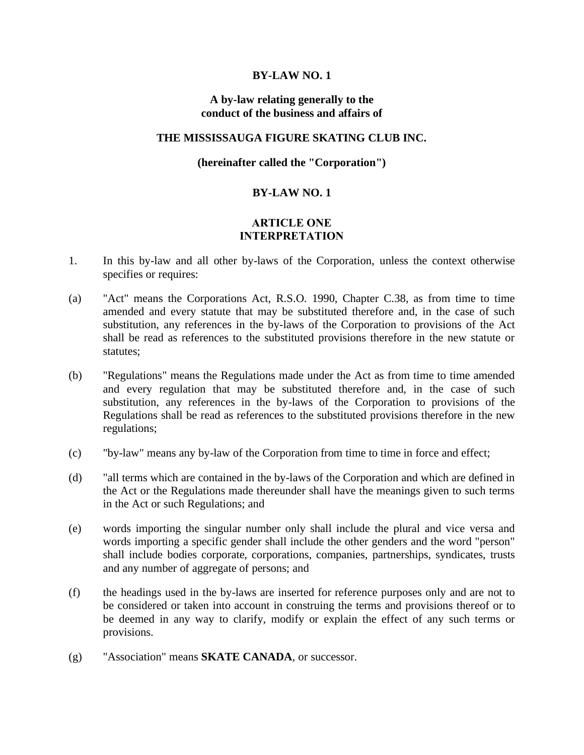### **BY-LAW NO. 1**

### **A by-law relating generally to the conduct of the business and affairs of**

### **THE MISSISSAUGA FIGURE SKATING CLUB INC.**

### **(hereinafter called the "Corporation")**

### **BY-LAW NO. 1**

### **ARTICLE ONE INTERPRETATION**

- 1. In this by-law and all other by-laws of the Corporation, unless the context otherwise specifies or requires:
- (a) "Act" means the Corporations Act, R.S.O. 1990, Chapter C.38, as from time to time amended and every statute that may be substituted therefore and, in the case of such substitution, any references in the by-laws of the Corporation to provisions of the Act shall be read as references to the substituted provisions therefore in the new statute or statutes;
- (b) "Regulations" means the Regulations made under the Act as from time to time amended and every regulation that may be substituted therefore and, in the case of such substitution, any references in the by-laws of the Corporation to provisions of the Regulations shall be read as references to the substituted provisions therefore in the new regulations;
- (c) "by-law" means any by-law of the Corporation from time to time in force and effect;
- (d) "all terms which are contained in the by-laws of the Corporation and which are defined in the Act or the Regulations made thereunder shall have the meanings given to such terms in the Act or such Regulations; and
- (e) words importing the singular number only shall include the plural and vice versa and words importing a specific gender shall include the other genders and the word "person" shall include bodies corporate, corporations, companies, partnerships, syndicates, trusts and any number of aggregate of persons; and
- (f) the headings used in the by-laws are inserted for reference purposes only and are not to be considered or taken into account in construing the terms and provisions thereof or to be deemed in any way to clarify, modify or explain the effect of any such terms or provisions.
- (g) "Association" means **SKATE CANADA**, or successor.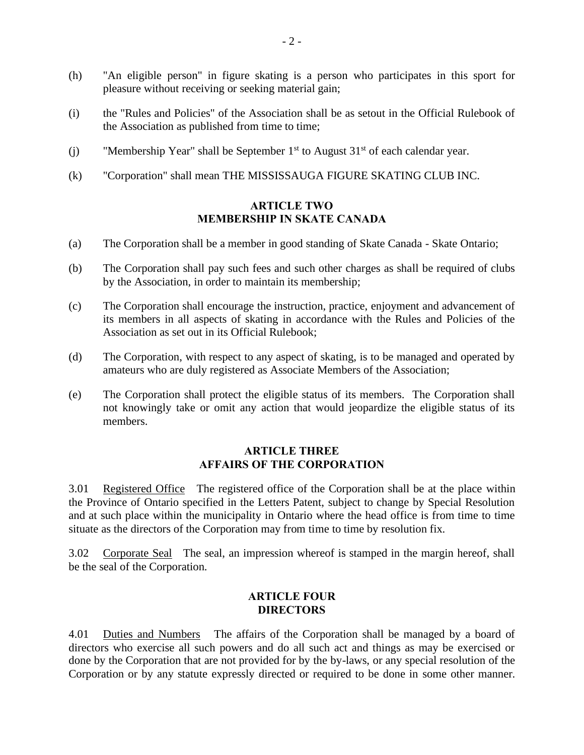- (h) "An eligible person" in figure skating is a person who participates in this sport for pleasure without receiving or seeking material gain;
- (i) the "Rules and Policies" of the Association shall be as setout in the Official Rulebook of the Association as published from time to time;
- (j) "Membership Year" shall be September  $1<sup>st</sup>$  to August  $31<sup>st</sup>$  of each calendar year.
- (k) "Corporation" shall mean THE MISSISSAUGA FIGURE SKATING CLUB INC.

# **ARTICLE TWO MEMBERSHIP IN SKATE CANADA**

- (a) The Corporation shall be a member in good standing of Skate Canada Skate Ontario;
- (b) The Corporation shall pay such fees and such other charges as shall be required of clubs by the Association, in order to maintain its membership;
- (c) The Corporation shall encourage the instruction, practice, enjoyment and advancement of its members in all aspects of skating in accordance with the Rules and Policies of the Association as set out in its Official Rulebook;
- (d) The Corporation, with respect to any aspect of skating, is to be managed and operated by amateurs who are duly registered as Associate Members of the Association;
- (e) The Corporation shall protect the eligible status of its members. The Corporation shall not knowingly take or omit any action that would jeopardize the eligible status of its members.

## **ARTICLE THREE AFFAIRS OF THE CORPORATION**

3.01 Registered Office The registered office of the Corporation shall be at the place within the Province of Ontario specified in the Letters Patent, subject to change by Special Resolution and at such place within the municipality in Ontario where the head office is from time to time situate as the directors of the Corporation may from time to time by resolution fix.

3.02 Corporate Seal The seal, an impression whereof is stamped in the margin hereof, shall be the seal of the Corporation.

#### **ARTICLE FOUR DIRECTORS**

4.01 Duties and Numbers The affairs of the Corporation shall be managed by a board of directors who exercise all such powers and do all such act and things as may be exercised or done by the Corporation that are not provided for by the by-laws, or any special resolution of the Corporation or by any statute expressly directed or required to be done in some other manner.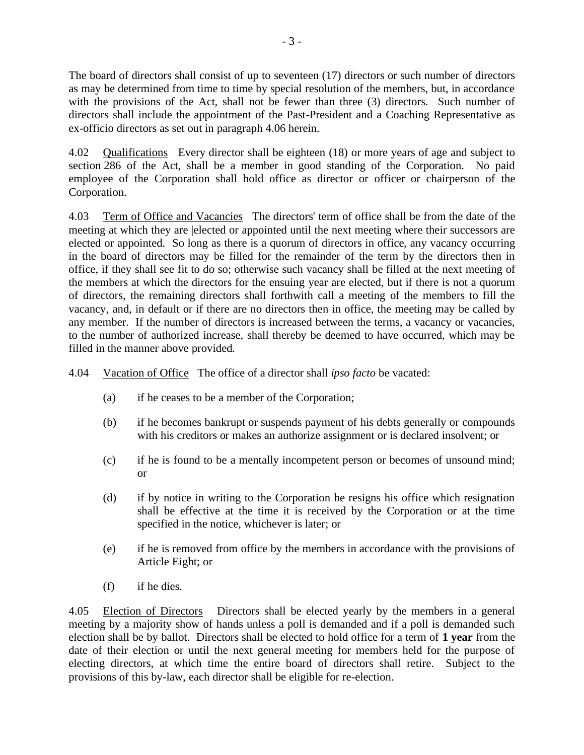The board of directors shall consist of up to seventeen (17) directors or such number of directors as may be determined from time to time by special resolution of the members, but, in accordance with the provisions of the Act, shall not be fewer than three (3) directors. Such number of directors shall include the appointment of the Past-President and a Coaching Representative as ex-officio directors as set out in paragraph 4.06 herein.

4.02 Qualifications Every director shall be eighteen (18) or more years of age and subject to section 286 of the Act, shall be a member in good standing of the Corporation. No paid employee of the Corporation shall hold office as director or officer or chairperson of the Corporation.

4.03 Term of Office and Vacancies The directors' term of office shall be from the date of the meeting at which they are |elected or appointed until the next meeting where their successors are elected or appointed. So long as there is a quorum of directors in office, any vacancy occurring in the board of directors may be filled for the remainder of the term by the directors then in office, if they shall see fit to do so; otherwise such vacancy shall be filled at the next meeting of the members at which the directors for the ensuing year are elected, but if there is not a quorum of directors, the remaining directors shall forthwith call a meeting of the members to fill the vacancy, and, in default or if there are no directors then in office, the meeting may be called by any member. If the number of directors is increased between the terms, a vacancy or vacancies, to the number of authorized increase, shall thereby be deemed to have occurred, which may be filled in the manner above provided.

4.04 Vacation of Office The office of a director shall *ipso facto* be vacated:

- (a) if he ceases to be a member of the Corporation;
- (b) if he becomes bankrupt or suspends payment of his debts generally or compounds with his creditors or makes an authorize assignment or is declared insolvent; or
- (c) if he is found to be a mentally incompetent person or becomes of unsound mind; or
- (d) if by notice in writing to the Corporation he resigns his office which resignation shall be effective at the time it is received by the Corporation or at the time specified in the notice, whichever is later; or
- (e) if he is removed from office by the members in accordance with the provisions of Article Eight; or
- (f) if he dies.

4.05 Election of Directors Directors shall be elected yearly by the members in a general meeting by a majority show of hands unless a poll is demanded and if a poll is demanded such election shall be by ballot. Directors shall be elected to hold office for a term of **1 year** from the date of their election or until the next general meeting for members held for the purpose of electing directors, at which time the entire board of directors shall retire. Subject to the provisions of this by-law, each director shall be eligible for re-election.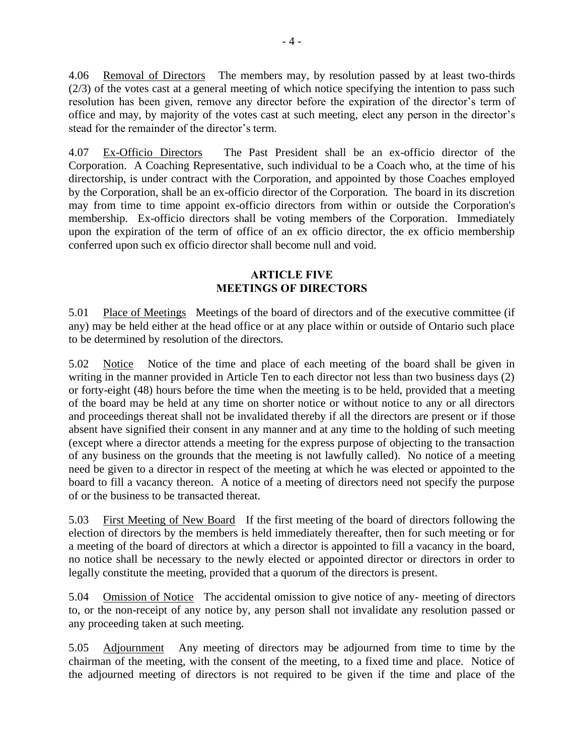4.06 Removal of Directors The members may, by resolution passed by at least two-thirds (2/3) of the votes cast at a general meeting of which notice specifying the intention to pass such resolution has been given, remove any director before the expiration of the director's term of office and may, by majority of the votes cast at such meeting, elect any person in the director's stead for the remainder of the director's term.

4.07 Ex-Officio Directors The Past President shall be an ex-officio director of the Corporation. A Coaching Representative, such individual to be a Coach who, at the time of his directorship, is under contract with the Corporation, and appointed by those Coaches employed by the Corporation, shall be an ex-officio director of the Corporation. The board in its discretion may from time to time appoint ex-officio directors from within or outside the Corporation's membership. Ex-officio directors shall be voting members of the Corporation. Immediately upon the expiration of the term of office of an ex officio director, the ex officio membership conferred upon such ex officio director shall become null and void.

### **ARTICLE FIVE MEETINGS OF DIRECTORS**

5.01 Place of Meetings Meetings of the board of directors and of the executive committee (if any) may be held either at the head office or at any place within or outside of Ontario such place to be determined by resolution of the directors.

5.02 Notice Notice of the time and place of each meeting of the board shall be given in writing in the manner provided in Article Ten to each director not less than two business days (2) or forty-eight (48) hours before the time when the meeting is to be held, provided that a meeting of the board may be held at any time on shorter notice or without notice to any or all directors and proceedings thereat shall not be invalidated thereby if all the directors are present or if those absent have signified their consent in any manner and at any time to the holding of such meeting (except where a director attends a meeting for the express purpose of objecting to the transaction of any business on the grounds that the meeting is not lawfully called). No notice of a meeting need be given to a director in respect of the meeting at which he was elected or appointed to the board to fill a vacancy thereon. A notice of a meeting of directors need not specify the purpose of or the business to be transacted thereat.

5.03 First Meeting of New Board If the first meeting of the board of directors following the election of directors by the members is held immediately thereafter, then for such meeting or for a meeting of the board of directors at which a director is appointed to fill a vacancy in the board, no notice shall be necessary to the newly elected or appointed director or directors in order to legally constitute the meeting, provided that a quorum of the directors is present.

5.04 Omission of Notice The accidental omission to give notice of any- meeting of directors to, or the non-receipt of any notice by, any person shall not invalidate any resolution passed or any proceeding taken at such meeting.

5.05 Adjournment Any meeting of directors may be adjourned from time to time by the chairman of the meeting, with the consent of the meeting, to a fixed time and place. Notice of the adjourned meeting of directors is not required to be given if the time and place of the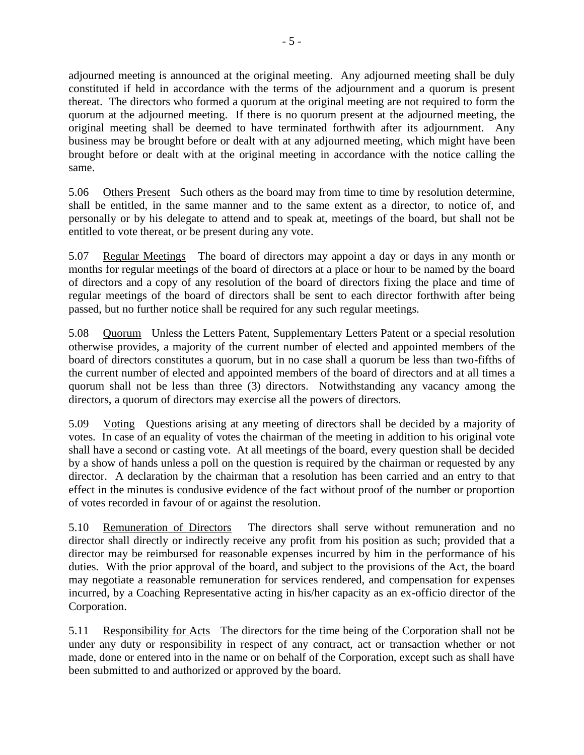adjourned meeting is announced at the original meeting. Any adjourned meeting shall be duly constituted if held in accordance with the terms of the adjournment and a quorum is present thereat. The directors who formed a quorum at the original meeting are not required to form the quorum at the adjourned meeting. If there is no quorum present at the adjourned meeting, the original meeting shall be deemed to have terminated forthwith after its adjournment. Any business may be brought before or dealt with at any adjourned meeting, which might have been brought before or dealt with at the original meeting in accordance with the notice calling the same.

5.06 Others Present Such others as the board may from time to time by resolution determine, shall be entitled, in the same manner and to the same extent as a director, to notice of, and personally or by his delegate to attend and to speak at, meetings of the board, but shall not be entitled to vote thereat, or be present during any vote.

5.07 Regular Meetings The board of directors may appoint a day or days in any month or months for regular meetings of the board of directors at a place or hour to be named by the board of directors and a copy of any resolution of the board of directors fixing the place and time of regular meetings of the board of directors shall be sent to each director forthwith after being passed, but no further notice shall be required for any such regular meetings.

5.08 Quorum Unless the Letters Patent, Supplementary Letters Patent or a special resolution otherwise provides, a majority of the current number of elected and appointed members of the board of directors constitutes a quorum, but in no case shall a quorum be less than two-fifths of the current number of elected and appointed members of the board of directors and at all times a quorum shall not be less than three (3) directors. Notwithstanding any vacancy among the directors, a quorum of directors may exercise all the powers of directors.

5.09 Voting Questions arising at any meeting of directors shall be decided by a majority of votes. In case of an equality of votes the chairman of the meeting in addition to his original vote shall have a second or casting vote. At all meetings of the board, every question shall be decided by a show of hands unless a poll on the question is required by the chairman or requested by any director. A declaration by the chairman that a resolution has been carried and an entry to that effect in the minutes is condusive evidence of the fact without proof of the number or proportion of votes recorded in favour of or against the resolution.

5.10 Remuneration of Directors The directors shall serve without remuneration and no director shall directly or indirectly receive any profit from his position as such; provided that a director may be reimbursed for reasonable expenses incurred by him in the performance of his duties. With the prior approval of the board, and subject to the provisions of the Act, the board may negotiate a reasonable remuneration for services rendered, and compensation for expenses incurred, by a Coaching Representative acting in his/her capacity as an ex-officio director of the Corporation.

5.11 Responsibility for Acts The directors for the time being of the Corporation shall not be under any duty or responsibility in respect of any contract, act or transaction whether or not made, done or entered into in the name or on behalf of the Corporation, except such as shall have been submitted to and authorized or approved by the board.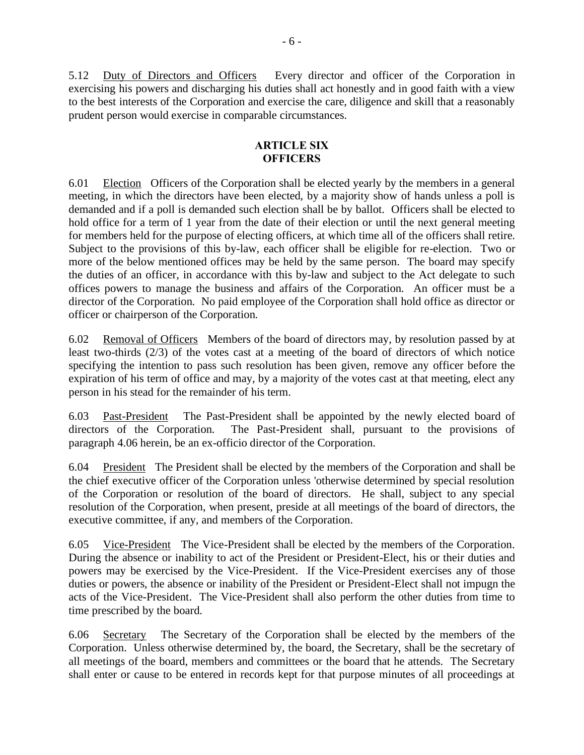5.12 Duty of Directors and Officers Every director and officer of the Corporation in exercising his powers and discharging his duties shall act honestly and in good faith with a view to the best interests of the Corporation and exercise the care, diligence and skill that a reasonably prudent person would exercise in comparable circumstances.

# **ARTICLE SIX OFFICERS**

6.01 Election Officers of the Corporation shall be elected yearly by the members in a general meeting, in which the directors have been elected, by a majority show of hands unless a poll is demanded and if a poll is demanded such election shall be by ballot. Officers shall be elected to hold office for a term of 1 year from the date of their election or until the next general meeting for members held for the purpose of electing officers, at which time all of the officers shall retire. Subject to the provisions of this by-law, each officer shall be eligible for re-election. Two or more of the below mentioned offices may be held by the same person. The board may specify the duties of an officer, in accordance with this by-law and subject to the Act delegate to such offices powers to manage the business and affairs of the Corporation. An officer must be a director of the Corporation. No paid employee of the Corporation shall hold office as director or officer or chairperson of the Corporation.

6.02 Removal of Officers Members of the board of directors may, by resolution passed by at least two-thirds (2/3) of the votes cast at a meeting of the board of directors of which notice specifying the intention to pass such resolution has been given, remove any officer before the expiration of his term of office and may, by a majority of the votes cast at that meeting, elect any person in his stead for the remainder of his term.

6.03 Past-President The Past-President shall be appointed by the newly elected board of directors of the Corporation. The Past-President shall, pursuant to the provisions of paragraph 4.06 herein, be an ex-officio director of the Corporation.

6.04 President The President shall be elected by the members of the Corporation and shall be the chief executive officer of the Corporation unless 'otherwise determined by special resolution of the Corporation or resolution of the board of directors. He shall, subject to any special resolution of the Corporation, when present, preside at all meetings of the board of directors, the executive committee, if any, and members of the Corporation.

6.05 Vice-President The Vice-President shall be elected by the members of the Corporation. During the absence or inability to act of the President or President-Elect, his or their duties and powers may be exercised by the Vice-President. If the Vice-President exercises any of those duties or powers, the absence or inability of the President or President-Elect shall not impugn the acts of the Vice-President. The Vice-President shall also perform the other duties from time to time prescribed by the board.

6.06 Secretary The Secretary of the Corporation shall be elected by the members of the Corporation. Unless otherwise determined by, the board, the Secretary, shall be the secretary of all meetings of the board, members and committees or the board that he attends. The Secretary shall enter or cause to be entered in records kept for that purpose minutes of all proceedings at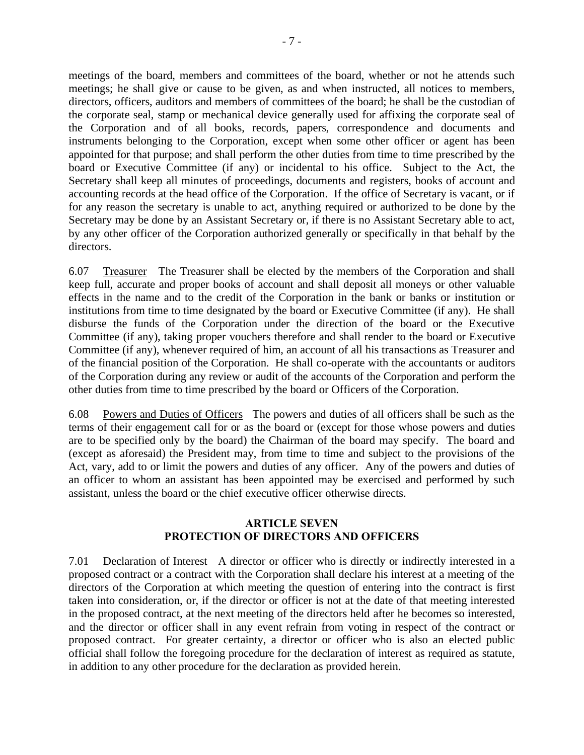meetings of the board, members and committees of the board, whether or not he attends such meetings; he shall give or cause to be given, as and when instructed, all notices to members, directors, officers, auditors and members of committees of the board; he shall be the custodian of the corporate seal, stamp or mechanical device generally used for affixing the corporate seal of the Corporation and of all books, records, papers, correspondence and documents and instruments belonging to the Corporation, except when some other officer or agent has been appointed for that purpose; and shall perform the other duties from time to time prescribed by the board or Executive Committee (if any) or incidental to his office. Subject to the Act, the Secretary shall keep all minutes of proceedings, documents and registers, books of account and accounting records at the head office of the Corporation. If the office of Secretary is vacant, or if for any reason the secretary is unable to act, anything required or authorized to be done by the Secretary may be done by an Assistant Secretary or, if there is no Assistant Secretary able to act, by any other officer of the Corporation authorized generally or specifically in that behalf by the directors.

6.07 Treasurer The Treasurer shall be elected by the members of the Corporation and shall keep full, accurate and proper books of account and shall deposit all moneys or other valuable effects in the name and to the credit of the Corporation in the bank or banks or institution or institutions from time to time designated by the board or Executive Committee (if any). He shall disburse the funds of the Corporation under the direction of the board or the Executive Committee (if any), taking proper vouchers therefore and shall render to the board or Executive Committee (if any), whenever required of him, an account of all his transactions as Treasurer and of the financial position of the Corporation. He shall co-operate with the accountants or auditors of the Corporation during any review or audit of the accounts of the Corporation and perform the other duties from time to time prescribed by the board or Officers of the Corporation.

6.08 Powers and Duties of Officers The powers and duties of all officers shall be such as the terms of their engagement call for or as the board or (except for those whose powers and duties are to be specified only by the board) the Chairman of the board may specify. The board and (except as aforesaid) the President may, from time to time and subject to the provisions of the Act, vary, add to or limit the powers and duties of any officer. Any of the powers and duties of an officer to whom an assistant has been appointed may be exercised and performed by such assistant, unless the board or the chief executive officer otherwise directs.

# **ARTICLE SEVEN PROTECTION OF DIRECTORS AND OFFICERS**

7.01 Declaration of Interest A director or officer who is directly or indirectly interested in a proposed contract or a contract with the Corporation shall declare his interest at a meeting of the directors of the Corporation at which meeting the question of entering into the contract is first taken into consideration, or, if the director or officer is not at the date of that meeting interested in the proposed contract, at the next meeting of the directors held after he becomes so interested, and the director or officer shall in any event refrain from voting in respect of the contract or proposed contract. For greater certainty, a director or officer who is also an elected public official shall follow the foregoing procedure for the declaration of interest as required as statute, in addition to any other procedure for the declaration as provided herein.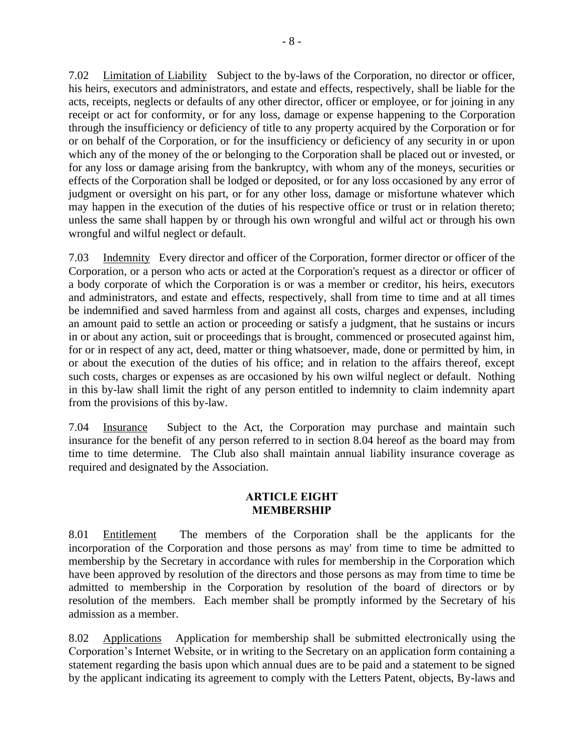7.02 Limitation of Liability Subject to the by-laws of the Corporation, no director or officer, his heirs, executors and administrators, and estate and effects, respectively, shall be liable for the acts, receipts, neglects or defaults of any other director, officer or employee, or for joining in any receipt or act for conformity, or for any loss, damage or expense happening to the Corporation through the insufficiency or deficiency of title to any property acquired by the Corporation or for or on behalf of the Corporation, or for the insufficiency or deficiency of any security in or upon which any of the money of the or belonging to the Corporation shall be placed out or invested, or for any loss or damage arising from the bankruptcy, with whom any of the moneys, securities or effects of the Corporation shall be lodged or deposited, or for any loss occasioned by any error of judgment or oversight on his part, or for any other loss, damage or misfortune whatever which may happen in the execution of the duties of his respective office or trust or in relation thereto; unless the same shall happen by or through his own wrongful and wilful act or through his own wrongful and wilful neglect or default.

7.03 Indemnity Every director and officer of the Corporation, former director or officer of the Corporation, or a person who acts or acted at the Corporation's request as a director or officer of a body corporate of which the Corporation is or was a member or creditor, his heirs, executors and administrators, and estate and effects, respectively, shall from time to time and at all times be indemnified and saved harmless from and against all costs, charges and expenses, including an amount paid to settle an action or proceeding or satisfy a judgment, that he sustains or incurs in or about any action, suit or proceedings that is brought, commenced or prosecuted against him, for or in respect of any act, deed, matter or thing whatsoever, made, done or permitted by him, in or about the execution of the duties of his office; and in relation to the affairs thereof, except such costs, charges or expenses as are occasioned by his own wilful neglect or default. Nothing in this by-law shall limit the right of any person entitled to indemnity to claim indemnity apart from the provisions of this by-law.

7.04 Insurance Subject to the Act, the Corporation may purchase and maintain such insurance for the benefit of any person referred to in section 8.04 hereof as the board may from time to time determine. The Club also shall maintain annual liability insurance coverage as required and designated by the Association.

## **ARTICLE EIGHT MEMBERSHIP**

8.01 Entitlement The members of the Corporation shall be the applicants for the incorporation of the Corporation and those persons as may' from time to time be admitted to membership by the Secretary in accordance with rules for membership in the Corporation which have been approved by resolution of the directors and those persons as may from time to time be admitted to membership in the Corporation by resolution of the board of directors or by resolution of the members. Each member shall be promptly informed by the Secretary of his admission as a member.

8.02 Applications Application for membership shall be submitted electronically using the Corporation's Internet Website, or in writing to the Secretary on an application form containing a statement regarding the basis upon which annual dues are to be paid and a statement to be signed by the applicant indicating its agreement to comply with the Letters Patent, objects, By-laws and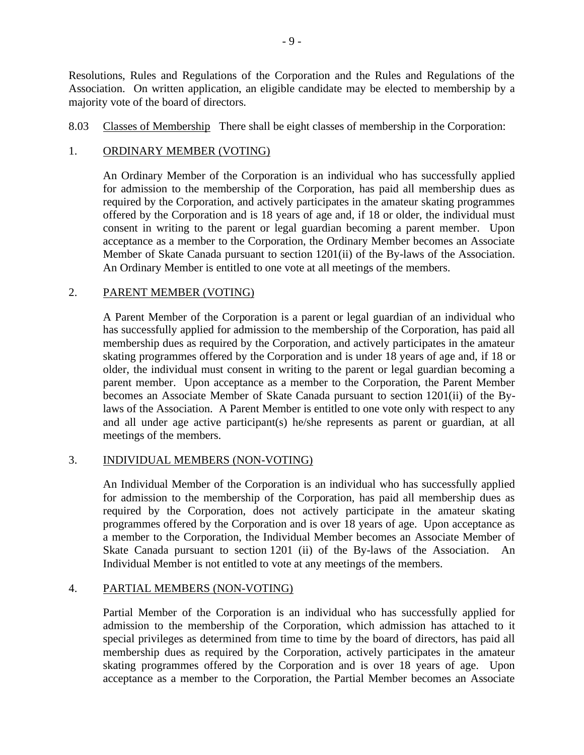Resolutions, Rules and Regulations of the Corporation and the Rules and Regulations of the Association. On written application, an eligible candidate may be elected to membership by a majority vote of the board of directors.

8.03 Classes of Membership There shall be eight classes of membership in the Corporation:

# 1. ORDINARY MEMBER (VOTING)

An Ordinary Member of the Corporation is an individual who has successfully applied for admission to the membership of the Corporation, has paid all membership dues as required by the Corporation, and actively participates in the amateur skating programmes offered by the Corporation and is 18 years of age and, if 18 or older, the individual must consent in writing to the parent or legal guardian becoming a parent member. Upon acceptance as a member to the Corporation, the Ordinary Member becomes an Associate Member of Skate Canada pursuant to section 1201(ii) of the By-laws of the Association. An Ordinary Member is entitled to one vote at all meetings of the members.

## 2. PARENT MEMBER (VOTING)

A Parent Member of the Corporation is a parent or legal guardian of an individual who has successfully applied for admission to the membership of the Corporation, has paid all membership dues as required by the Corporation, and actively participates in the amateur skating programmes offered by the Corporation and is under 18 years of age and, if 18 or older, the individual must consent in writing to the parent or legal guardian becoming a parent member. Upon acceptance as a member to the Corporation, the Parent Member becomes an Associate Member of Skate Canada pursuant to section 1201(ii) of the Bylaws of the Association. A Parent Member is entitled to one vote only with respect to any and all under age active participant(s) he/she represents as parent or guardian, at all meetings of the members.

### 3. INDIVIDUAL MEMBERS (NON-VOTING)

An Individual Member of the Corporation is an individual who has successfully applied for admission to the membership of the Corporation, has paid all membership dues as required by the Corporation, does not actively participate in the amateur skating programmes offered by the Corporation and is over 18 years of age. Upon acceptance as a member to the Corporation, the Individual Member becomes an Associate Member of Skate Canada pursuant to section 1201 (ii) of the By-laws of the Association. An Individual Member is not entitled to vote at any meetings of the members.

### 4. PARTIAL MEMBERS (NON-VOTING)

Partial Member of the Corporation is an individual who has successfully applied for admission to the membership of the Corporation, which admission has attached to it special privileges as determined from time to time by the board of directors, has paid all membership dues as required by the Corporation, actively participates in the amateur skating programmes offered by the Corporation and is over 18 years of age. Upon acceptance as a member to the Corporation, the Partial Member becomes an Associate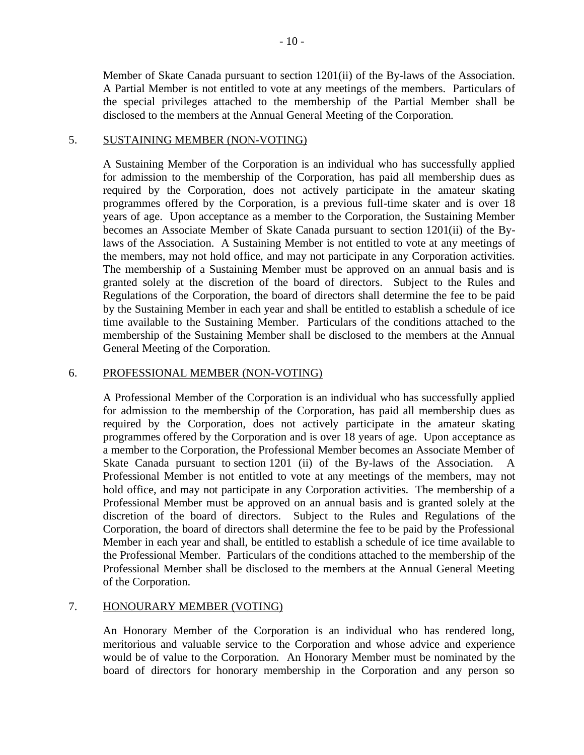Member of Skate Canada pursuant to section 1201(ii) of the By-laws of the Association. A Partial Member is not entitled to vote at any meetings of the members. Particulars of the special privileges attached to the membership of the Partial Member shall be disclosed to the members at the Annual General Meeting of the Corporation.

### 5. SUSTAINING MEMBER (NON-VOTING)

A Sustaining Member of the Corporation is an individual who has successfully applied for admission to the membership of the Corporation, has paid all membership dues as required by the Corporation, does not actively participate in the amateur skating programmes offered by the Corporation, is a previous full-time skater and is over 18 years of age. Upon acceptance as a member to the Corporation, the Sustaining Member becomes an Associate Member of Skate Canada pursuant to section 1201(ii) of the Bylaws of the Association. A Sustaining Member is not entitled to vote at any meetings of the members, may not hold office, and may not participate in any Corporation activities. The membership of a Sustaining Member must be approved on an annual basis and is granted solely at the discretion of the board of directors. Subject to the Rules and Regulations of the Corporation, the board of directors shall determine the fee to be paid by the Sustaining Member in each year and shall be entitled to establish a schedule of ice time available to the Sustaining Member. Particulars of the conditions attached to the membership of the Sustaining Member shall be disclosed to the members at the Annual General Meeting of the Corporation.

# 6. PROFESSIONAL MEMBER (NON-VOTING)

A Professional Member of the Corporation is an individual who has successfully applied for admission to the membership of the Corporation, has paid all membership dues as required by the Corporation, does not actively participate in the amateur skating programmes offered by the Corporation and is over 18 years of age. Upon acceptance as a member to the Corporation, the Professional Member becomes an Associate Member of Skate Canada pursuant to section 1201 (ii) of the By-laws of the Association. A Professional Member is not entitled to vote at any meetings of the members, may not hold office, and may not participate in any Corporation activities. The membership of a Professional Member must be approved on an annual basis and is granted solely at the discretion of the board of directors. Subject to the Rules and Regulations of the Corporation, the board of directors shall determine the fee to be paid by the Professional Member in each year and shall, be entitled to establish a schedule of ice time available to the Professional Member. Particulars of the conditions attached to the membership of the Professional Member shall be disclosed to the members at the Annual General Meeting of the Corporation.

# 7. HONOURARY MEMBER (VOTING)

An Honorary Member of the Corporation is an individual who has rendered long, meritorious and valuable service to the Corporation and whose advice and experience would be of value to the Corporation. An Honorary Member must be nominated by the board of directors for honorary membership in the Corporation and any person so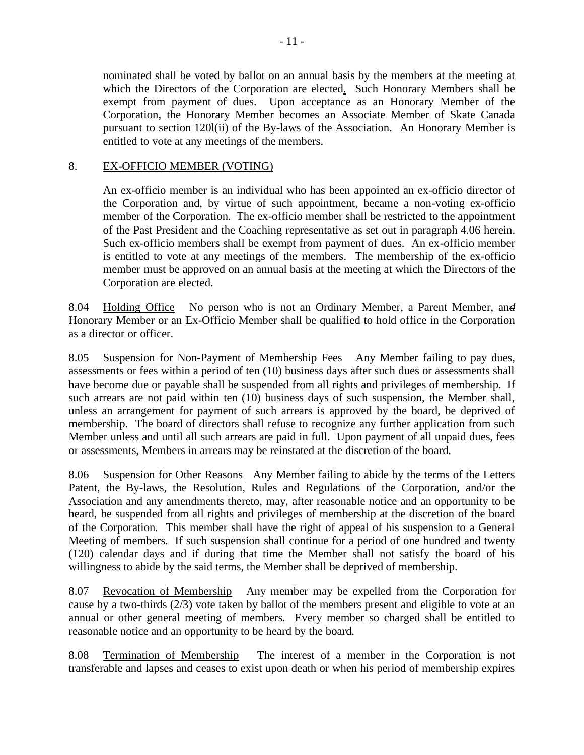nominated shall be voted by ballot on an annual basis by the members at the meeting at which the Directors of the Corporation are elected*.* Such Honorary Members shall be exempt from payment of dues. Upon acceptance as an Honorary Member of the Corporation, the Honorary Member becomes an Associate Member of Skate Canada pursuant to section 120l(ii) of the By-laws of the Association. An Honorary Member is entitled to vote at any meetings of the members.

# 8. EX-OFFICIO MEMBER (VOTING)

An ex-officio member is an individual who has been appointed an ex-officio director of the Corporation and, by virtue of such appointment, became a non-voting ex-officio member of the Corporation. The ex-officio member shall be restricted to the appointment of the Past President and the Coaching representative as set out in paragraph 4.06 herein. Such ex-officio members shall be exempt from payment of dues. An ex-officio member is entitled to vote at any meetings of the members. The membership of the ex-officio member must be approved on an annual basis at the meeting at which the Directors of the Corporation are elected.

8.04 Holding Office No person who is not an Ordinary Member, a Parent Member, an*d* Honorary Member or an Ex-Officio Member shall be qualified to hold office in the Corporation as a director or officer.

8.05 Suspension for Non-Payment of Membership Fees Any Member failing to pay dues, assessments or fees within a period of ten (10) business days after such dues or assessments shall have become due or payable shall be suspended from all rights and privileges of membership. If such arrears are not paid within ten (10) business days of such suspension, the Member shall, unless an arrangement for payment of such arrears is approved by the board, be deprived of membership. The board of directors shall refuse to recognize any further application from such Member unless and until all such arrears are paid in full. Upon payment of all unpaid dues, fees or assessments, Members in arrears may be reinstated at the discretion of the board.

8.06 Suspension for Other Reasons Any Member failing to abide by the terms of the Letters Patent, the By-laws, the Resolution, Rules and Regulations of the Corporation, and/or the Association and any amendments thereto, may, after reasonable notice and an opportunity to be heard, be suspended from all rights and privileges of membership at the discretion of the board of the Corporation. This member shall have the right of appeal of his suspension to a General Meeting of members. If such suspension shall continue for a period of one hundred and twenty (120) calendar days and if during that time the Member shall not satisfy the board of his willingness to abide by the said terms, the Member shall be deprived of membership.

8.07 Revocation of Membership Any member may be expelled from the Corporation for cause by a two-thirds (2/3) vote taken by ballot of the members present and eligible to vote at an annual or other general meeting of members. Every member so charged shall be entitled to reasonable notice and an opportunity to be heard by the board.

8.08 Termination of Membership The interest of a member in the Corporation is not transferable and lapses and ceases to exist upon death or when his period of membership expires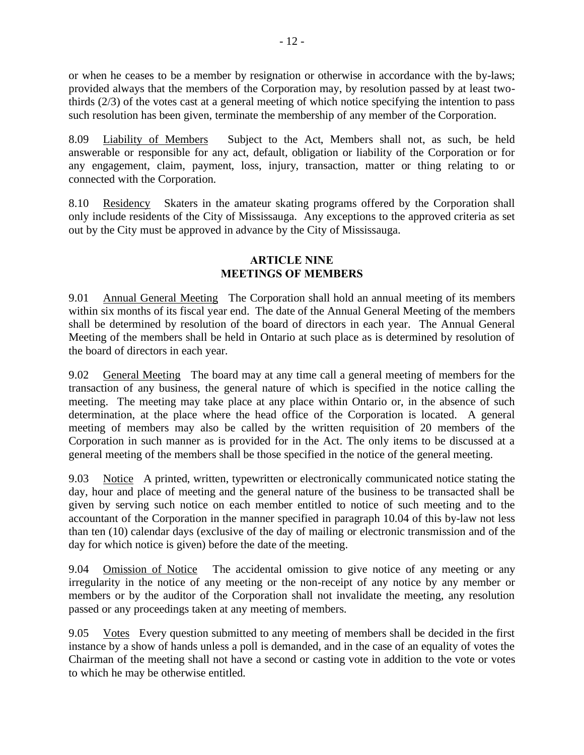or when he ceases to be a member by resignation or otherwise in accordance with the by-laws; provided always that the members of the Corporation may, by resolution passed by at least twothirds (2/3) of the votes cast at a general meeting of which notice specifying the intention to pass such resolution has been given, terminate the membership of any member of the Corporation.

8.09 Liability of Members Subject to the Act, Members shall not, as such, be held answerable or responsible for any act, default, obligation or liability of the Corporation or for any engagement, claim, payment, loss, injury, transaction, matter or thing relating to or connected with the Corporation.

8.10 Residency Skaters in the amateur skating programs offered by the Corporation shall only include residents of the City of Mississauga. Any exceptions to the approved criteria as set out by the City must be approved in advance by the City of Mississauga.

# **ARTICLE NINE MEETINGS OF MEMBERS**

9.01 Annual General Meeting The Corporation shall hold an annual meeting of its members within six months of its fiscal year end. The date of the Annual General Meeting of the members shall be determined by resolution of the board of directors in each year. The Annual General Meeting of the members shall be held in Ontario at such place as is determined by resolution of the board of directors in each year.

9.02 General Meeting The board may at any time call a general meeting of members for the transaction of any business, the general nature of which is specified in the notice calling the meeting. The meeting may take place at any place within Ontario or, in the absence of such determination, at the place where the head office of the Corporation is located. A general meeting of members may also be called by the written requisition of 20 members of the Corporation in such manner as is provided for in the Act. The only items to be discussed at a general meeting of the members shall be those specified in the notice of the general meeting.

9.03 Notice A printed, written, typewritten or electronically communicated notice stating the day, hour and place of meeting and the general nature of the business to be transacted shall be given by serving such notice on each member entitled to notice of such meeting and to the accountant of the Corporation in the manner specified in paragraph 10.04 of this by-law not less than ten (10) calendar days (exclusive of the day of mailing or electronic transmission and of the day for which notice is given) before the date of the meeting.

9.04 Omission of Notice The accidental omission to give notice of any meeting or any irregularity in the notice of any meeting or the non-receipt of any notice by any member or members or by the auditor of the Corporation shall not invalidate the meeting, any resolution passed or any proceedings taken at any meeting of members.

9.05 Votes Every question submitted to any meeting of members shall be decided in the first instance by a show of hands unless a poll is demanded, and in the case of an equality of votes the Chairman of the meeting shall not have a second or casting vote in addition to the vote or votes to which he may be otherwise entitled.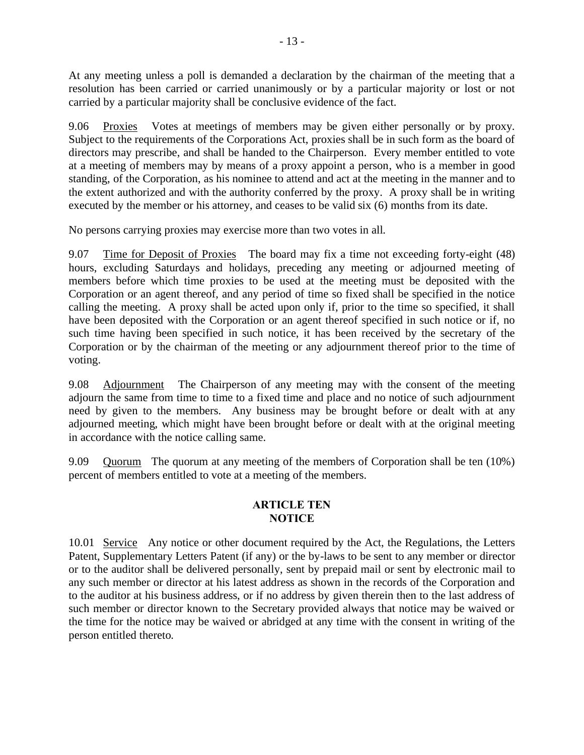At any meeting unless a poll is demanded a declaration by the chairman of the meeting that a resolution has been carried or carried unanimously or by a particular majority or lost or not carried by a particular majority shall be conclusive evidence of the fact.

9.06 Proxies Votes at meetings of members may be given either personally or by proxy. Subject to the requirements of the Corporations Act, proxies shall be in such form as the board of directors may prescribe, and shall be handed to the Chairperson. Every member entitled to vote at a meeting of members may by means of a proxy appoint a person, who is a member in good standing, of the Corporation, as his nominee to attend and act at the meeting in the manner and to the extent authorized and with the authority conferred by the proxy. A proxy shall be in writing executed by the member or his attorney, and ceases to be valid six (6) months from its date.

No persons carrying proxies may exercise more than two votes in all.

9.07 Time for Deposit of Proxies The board may fix a time not exceeding forty-eight (48) hours, excluding Saturdays and holidays, preceding any meeting or adjourned meeting of members before which time proxies to be used at the meeting must be deposited with the Corporation or an agent thereof, and any period of time so fixed shall be specified in the notice calling the meeting. A proxy shall be acted upon only if, prior to the time so specified, it shall have been deposited with the Corporation or an agent thereof specified in such notice or if, no such time having been specified in such notice, it has been received by the secretary of the Corporation or by the chairman of the meeting or any adjournment thereof prior to the time of voting.

9.08 Adjournment The Chairperson of any meeting may with the consent of the meeting adjourn the same from time to time to a fixed time and place and no notice of such adjournment need by given to the members. Any business may be brought before or dealt with at any adjourned meeting, which might have been brought before or dealt with at the original meeting in accordance with the notice calling same.

9.09 Quorum The quorum at any meeting of the members of Corporation shall be ten (10%) percent of members entitled to vote at a meeting of the members.

## **ARTICLE TEN NOTICE**

10.01 Service Any notice or other document required by the Act, the Regulations, the Letters Patent, Supplementary Letters Patent (if any) or the by-laws to be sent to any member or director or to the auditor shall be delivered personally, sent by prepaid mail or sent by electronic mail to any such member or director at his latest address as shown in the records of the Corporation and to the auditor at his business address, or if no address by given therein then to the last address of such member or director known to the Secretary provided always that notice may be waived or the time for the notice may be waived or abridged at any time with the consent in writing of the person entitled thereto.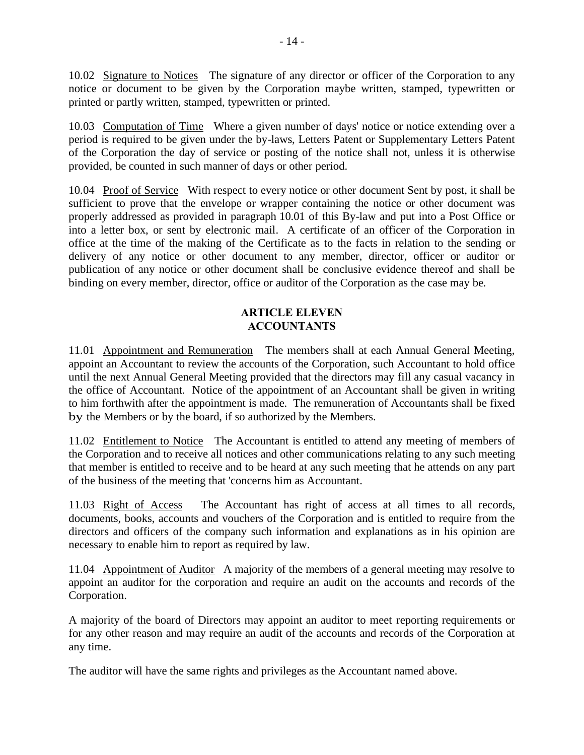10.02 Signature to Notices The signature of any director or officer of the Corporation to any notice or document to be given by the Corporation maybe written, stamped, typewritten or printed or partly written, stamped, typewritten or printed.

10.03 Computation of Time Where a given number of days' notice or notice extending over a period is required to be given under the by-laws, Letters Patent or Supplementary Letters Patent of the Corporation the day of service or posting of the notice shall not, unless it is otherwise provided, be counted in such manner of days or other period.

10.04 Proof of Service With respect to every notice or other document Sent by post, it shall be sufficient to prove that the envelope or wrapper containing the notice or other document was properly addressed as provided in paragraph 10.01 of this By-law and put into a Post Office or into a letter box, or sent by electronic mail. A certificate of an officer of the Corporation in office at the time of the making of the Certificate as to the facts in relation to the sending or delivery of any notice or other document to any member, director, officer or auditor or publication of any notice or other document shall be conclusive evidence thereof and shall be binding on every member, director, office or auditor of the Corporation as the case may be.

# **ARTICLE ELEVEN ACCOUNTANTS**

11.01 Appointment and Remuneration The members shall at each Annual General Meeting, appoint an Accountant to review the accounts of the Corporation, such Accountant to hold office until the next Annual General Meeting provided that the directors may fill any casual vacancy in the office of Accountant. Notice of the appointment of an Accountant shall be given in writing to him forthwith after the appointment is made. The remuneration of Accountants shall be fixed by the Members or by the board, if so authorized by the Members.

11.02 Entitlement to Notice The Accountant is entitled to attend any meeting of members of the Corporation and to receive all notices and other communications relating to any such meeting that member is entitled to receive and to be heard at any such meeting that he attends on any part of the business of the meeting that 'concerns him as Accountant.

11.03 Right of Access The Accountant has right of access at all times to all records, documents, books, accounts and vouchers of the Corporation and is entitled to require from the directors and officers of the company such information and explanations as in his opinion are necessary to enable him to report as required by law.

11.04 Appointment of Auditor A majority of the members of a general meeting may resolve to appoint an auditor for the corporation and require an audit on the accounts and records of the Corporation.

A majority of the board of Directors may appoint an auditor to meet reporting requirements or for any other reason and may require an audit of the accounts and records of the Corporation at any time.

The auditor will have the same rights and privileges as the Accountant named above.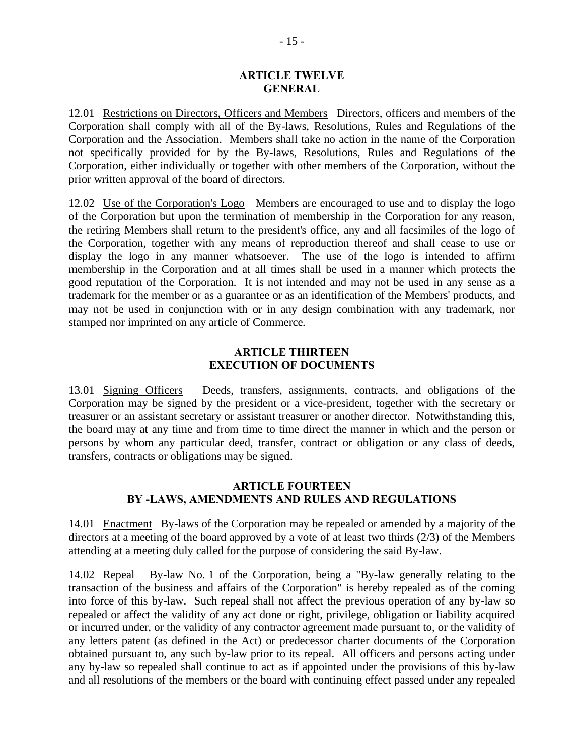#### **ARTICLE TWELVE GENERAL**

12.01 Restrictions on Directors, Officers and Members Directors, officers and members of the Corporation shall comply with all of the By-laws, Resolutions, Rules and Regulations of the Corporation and the Association. Members shall take no action in the name of the Corporation not specifically provided for by the By-laws, Resolutions, Rules and Regulations of the Corporation, either individually or together with other members of the Corporation, without the prior written approval of the board of directors.

12.02 Use of the Corporation's Logo Members are encouraged to use and to display the logo of the Corporation but upon the termination of membership in the Corporation for any reason, the retiring Members shall return to the president's office, any and all facsimiles of the logo of the Corporation, together with any means of reproduction thereof and shall cease to use or display the logo in any manner whatsoever. The use of the logo is intended to affirm membership in the Corporation and at all times shall be used in a manner which protects the good reputation of the Corporation. It is not intended and may not be used in any sense as a trademark for the member or as a guarantee or as an identification of the Members' products, and may not be used in conjunction with or in any design combination with any trademark, nor stamped nor imprinted on any article of Commerce.

## **ARTICLE THIRTEEN EXECUTION OF DOCUMENTS**

13.01 Signing Officers Deeds, transfers, assignments, contracts, and obligations of the Corporation may be signed by the president or a vice-president, together with the secretary or treasurer or an assistant secretary or assistant treasurer or another director. Notwithstanding this, the board may at any time and from time to time direct the manner in which and the person or persons by whom any particular deed, transfer, contract or obligation or any class of deeds, transfers, contracts or obligations may be signed.

## **ARTICLE FOURTEEN BY -LAWS, AMENDMENTS AND RULES AND REGULATIONS**

14.01 Enactment By-laws of the Corporation may be repealed or amended by a majority of the directors at a meeting of the board approved by a vote of at least two thirds (2/3) of the Members attending at a meeting duly called for the purpose of considering the said By-law.

14.02 Repeal By-law No. 1 of the Corporation, being a "By-law generally relating to the transaction of the business and affairs of the Corporation" is hereby repealed as of the coming into force of this by-law. Such repeal shall not affect the previous operation of any by-law so repealed or affect the validity of any act done or right, privilege, obligation or liability acquired or incurred under, or the validity of any contractor agreement made pursuant to, or the validity of any letters patent (as defined in the Act) or predecessor charter documents of the Corporation obtained pursuant to, any such by-law prior to its repeal. All officers and persons acting under any by-law so repealed shall continue to act as if appointed under the provisions of this by-law and all resolutions of the members or the board with continuing effect passed under any repealed